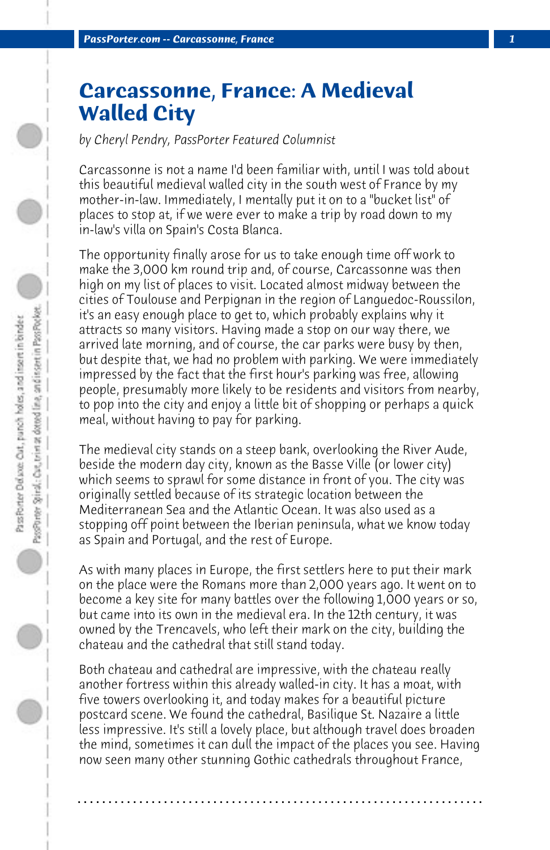## **Carcassonne, France: A Medieval Walled City**

*by Cheryl Pendry, PassPorter Featured Columnist*

Carcassonne is not a name I'd been familiar with, until I was told about this beautiful medieval walled city in the south west of France by my mother-in-law. Immediately, I mentally put it on to a "bucket list" of places to stop at, if we were ever to make a trip by road down to my in-law's villa on Spain's Costa Blanca.

The opportunity finally arose for us to take enough time off work to make the 3,000 km round trip and, of course, Carcassonne was then high on my list of places to visit. Located almost midway between the cities of Toulouse and Perpignan in the region of Languedoc-Roussilon, it's an easy enough place to get to, which probably explains why it attracts so many visitors. Having made a stop on our way there, we arrived late morning, and of course, the car parks were busy by then, but despite that, we had no problem with parking. We were immediately impressed by the fact that the first hour's parking was free, allowing people, presumably more likely to be residents and visitors from nearby, to pop into the city and enjoy a little bit of shopping or perhaps a quick meal, without having to pay for parking.

The medieval city stands on a steep bank, overlooking the River Aude, beside the modern day city, known as the Basse Ville (or lower city) which seems to sprawl for some distance in front of you. The city was originally settled because of its strategic location between the Mediterranean Sea and the Atlantic Ocean. It was also used as a stopping off point between the Iberian peninsula, what we know today as Spain and Portugal, and the rest of Europe.

As with many places in Europe, the first settlers here to put their mark on the place were the Romans more than 2,000 years ago. It went on to become a key site for many battles over the following 1,000 years or so, but came into its own in the medieval era. In the 12th century, it was owned by the Trencavels, who left their mark on the city, building the chateau and the cathedral that still stand today.

Both chateau and cathedral are impressive, with the chateau really another fortress within this already walled-in city. It has a moat, with five towers overlooking it, and today makes for a beautiful picture postcard scene. We found the cathedral, Basilique St. Nazaire a little less impressive. It's still a lovely place, but although travel does broaden the mind, sometimes it can dull the impact of the places you see. Having now seen many other stunning Gothic cathedrals throughout France,

**. . . . . . . . . . . . . . . . . . . . . . . . . . . . . . . . . . . . . . . . . . . . . . . . . . . . . . . . . . . . . . . . . .**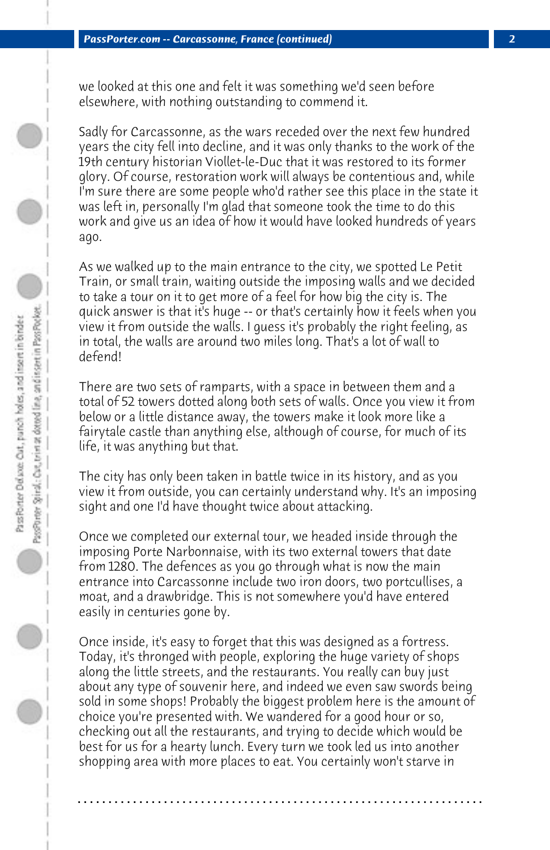we looked at this one and felt it was something we'd seen before elsewhere, with nothing outstanding to commend it.

Sadly for Carcassonne, as the wars receded over the next few hundred years the city fell into decline, and it was only thanks to the work of the 19th century historian Viollet-le-Duc that it was restored to its former glory. Of course, restoration work will always be contentious and, while I'm sure there are some people who'd rather see this place in the state it was left in, personally I'm glad that someone took the time to do this work and give us an idea of how it would have looked hundreds of years ago.

As we walked up to the main entrance to the city, we spotted Le Petit Train, or small train, waiting outside the imposing walls and we decided to take a tour on it to get more of a feel for how big the city is. The quick answer is that it's huge -- or that's certainly how it feels when you view it from outside the walls. I guess it's probably the right feeling, as in total, the walls are around two miles long. That's a lot of wall to defend!

There are two sets of ramparts, with a space in between them and a total of 52 towers dotted along both sets of walls. Once you view it from below or a little distance away, the towers make it look more like a fairytale castle than anything else, although of course, for much of its life, it was anything but that.

The city has only been taken in battle twice in its history, and as you view it from outside, you can certainly understand why. It's an imposing sight and one I'd have thought twice about attacking.

Once we completed our external tour, we headed inside through the imposing Porte Narbonnaise, with its two external towers that date from 1280. The defences as you go through what is now the main entrance into Carcassonne include two iron doors, two portcullises, a moat, and a drawbridge. This is not somewhere you'd have entered easily in centuries gone by.

Once inside, it's easy to forget that this was designed as a fortress. Today, it's thronged with people, exploring the huge variety of shops along the little streets, and the restaurants. You really can buy just about any type of souvenir here, and indeed we even saw swords being sold in some shops! Probably the biggest problem here is the amount of choice you're presented with. We wandered for a good hour or so, checking out all the restaurants, and trying to decide which would be best for us for a hearty lunch. Every turn we took led us into another shopping area with more places to eat. You certainly won't starve in

**. . . . . . . . . . . . . . . . . . . . . . . . . . . . . . . . . . . . . . . . . . . . . . . . . . . . . . . . . . . . . . . . . .**